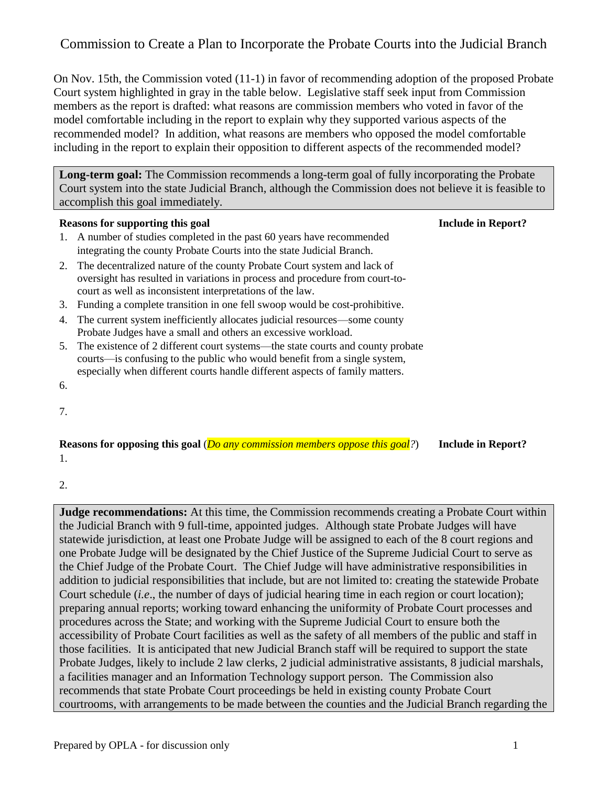On Nov. 15th, the Commission voted (11-1) in favor of recommending adoption of the proposed Probate Court system highlighted in gray in the table below. Legislative staff seek input from Commission members as the report is drafted: what reasons are commission members who voted in favor of the model comfortable including in the report to explain why they supported various aspects of the recommended model? In addition, what reasons are members who opposed the model comfortable including in the report to explain their opposition to different aspects of the recommended model?

**Long-term goal:** The Commission recommends a long-term goal of fully incorporating the Probate Court system into the state Judicial Branch, although the Commission does not believe it is feasible to accomplish this goal immediately.

### **Reasons for supporting this goal Include in Report?**

- 1. A number of studies completed in the past 60 years have recommended integrating the county Probate Courts into the state Judicial Branch.
- 2. The decentralized nature of the county Probate Court system and lack of oversight has resulted in variations in process and procedure from court-tocourt as well as inconsistent interpretations of the law.
- 3. Funding a complete transition in one fell swoop would be cost-prohibitive.
- 4. The current system inefficiently allocates judicial resources—some county Probate Judges have a small and others an excessive workload.
- 5. The existence of 2 different court systems—the state courts and county probate courts—is confusing to the public who would benefit from a single system, especially when different courts handle different aspects of family matters.

7.

6.

**Reasons for opposing this goal** (*Do any commission members oppose this goal?*) **Include in Report?** 1.

2.

**Judge recommendations:** At this time, the Commission recommends creating a Probate Court within the Judicial Branch with 9 full-time, appointed judges. Although state Probate Judges will have statewide jurisdiction, at least one Probate Judge will be assigned to each of the 8 court regions and one Probate Judge will be designated by the Chief Justice of the Supreme Judicial Court to serve as the Chief Judge of the Probate Court. The Chief Judge will have administrative responsibilities in addition to judicial responsibilities that include, but are not limited to: creating the statewide Probate Court schedule (*i.e*., the number of days of judicial hearing time in each region or court location); preparing annual reports; working toward enhancing the uniformity of Probate Court processes and procedures across the State; and working with the Supreme Judicial Court to ensure both the accessibility of Probate Court facilities as well as the safety of all members of the public and staff in those facilities. It is anticipated that new Judicial Branch staff will be required to support the state Probate Judges, likely to include 2 law clerks, 2 judicial administrative assistants, 8 judicial marshals, a facilities manager and an Information Technology support person. The Commission also recommends that state Probate Court proceedings be held in existing county Probate Court courtrooms, with arrangements to be made between the counties and the Judicial Branch regarding the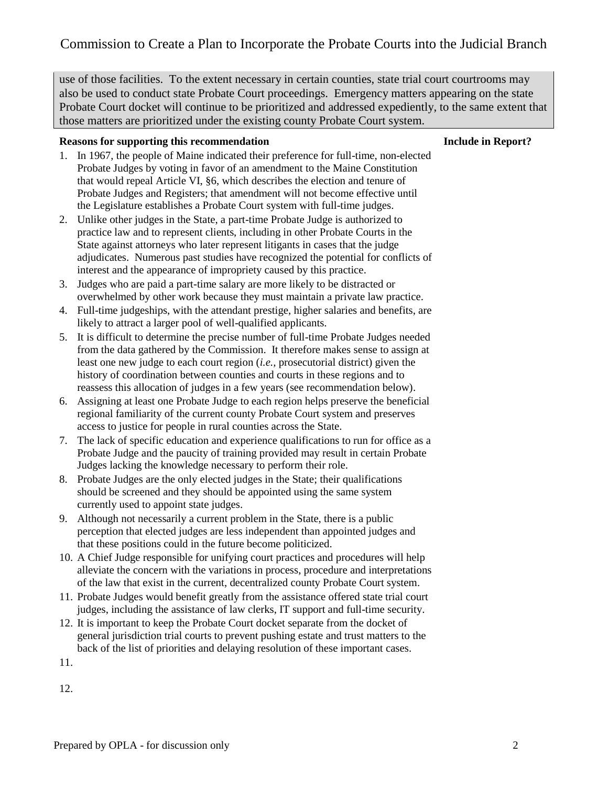use of those facilities. To the extent necessary in certain counties, state trial court courtrooms may also be used to conduct state Probate Court proceedings. Emergency matters appearing on the state Probate Court docket will continue to be prioritized and addressed expediently, to the same extent that those matters are prioritized under the existing county Probate Court system.

### **Reasons for supporting this recommendation Include in Report?**

- 1. In 1967, the people of Maine indicated their preference for full-time, non-elected Probate Judges by voting in favor of an amendment to the Maine Constitution that would repeal Article VI, §6, which describes the election and tenure of Probate Judges and Registers; that amendment will not become effective until the Legislature establishes a Probate Court system with full-time judges.
- 2. Unlike other judges in the State, a part-time Probate Judge is authorized to practice law and to represent clients, including in other Probate Courts in the State against attorneys who later represent litigants in cases that the judge adjudicates. Numerous past studies have recognized the potential for conflicts of interest and the appearance of impropriety caused by this practice.
- 3. Judges who are paid a part-time salary are more likely to be distracted or overwhelmed by other work because they must maintain a private law practice.
- 4. Full-time judgeships, with the attendant prestige, higher salaries and benefits, are likely to attract a larger pool of well-qualified applicants.
- 5. It is difficult to determine the precise number of full-time Probate Judges needed from the data gathered by the Commission. It therefore makes sense to assign at least one new judge to each court region (*i.e.,* prosecutorial district) given the history of coordination between counties and courts in these regions and to reassess this allocation of judges in a few years (see recommendation below).
- 6. Assigning at least one Probate Judge to each region helps preserve the beneficial regional familiarity of the current county Probate Court system and preserves access to justice for people in rural counties across the State.
- 7. The lack of specific education and experience qualifications to run for office as a Probate Judge and the paucity of training provided may result in certain Probate Judges lacking the knowledge necessary to perform their role.
- 8. Probate Judges are the only elected judges in the State; their qualifications should be screened and they should be appointed using the same system currently used to appoint state judges.
- 9. Although not necessarily a current problem in the State, there is a public perception that elected judges are less independent than appointed judges and that these positions could in the future become politicized.
- 10. A Chief Judge responsible for unifying court practices and procedures will help alleviate the concern with the variations in process, procedure and interpretations of the law that exist in the current, decentralized county Probate Court system.
- 11. Probate Judges would benefit greatly from the assistance offered state trial court judges, including the assistance of law clerks, IT support and full-time security.
- 12. It is important to keep the Probate Court docket separate from the docket of general jurisdiction trial courts to prevent pushing estate and trust matters to the back of the list of priorities and delaying resolution of these important cases.
- 11.

12.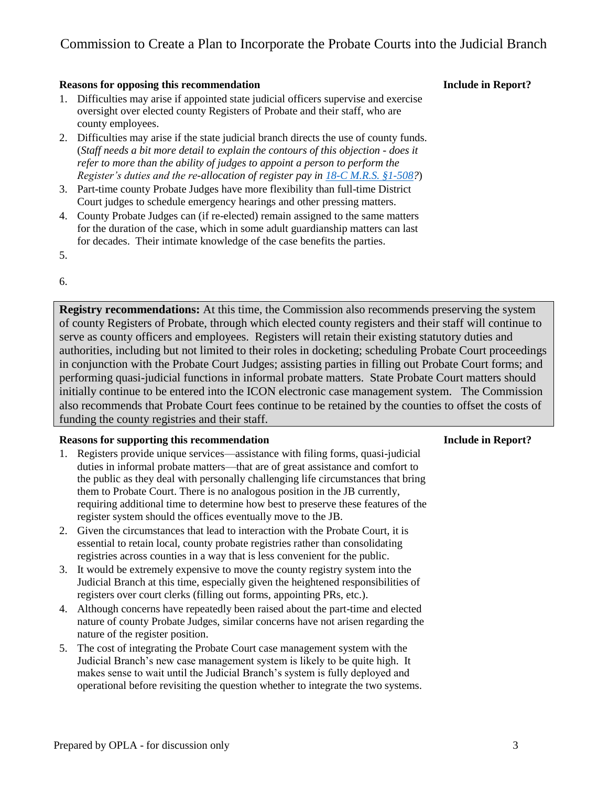### **Reasons for opposing this recommendation Include in Report?**

- 1. Difficulties may arise if appointed state judicial officers supervise and exercise oversight over elected county Registers of Probate and their staff, who are county employees.
- 2. Difficulties may arise if the state judicial branch directs the use of county funds. (*Staff needs a bit more detail to explain the contours of this objection - does it refer to more than the ability of judges to appoint a person to perform the Register's duties and the re-allocation of register pay in [18-C M.R.S. §1-508?](https://legislature.maine.gov/legis/statutes/18-C/title18-Csec1-508.html)*)
- 3. Part-time county Probate Judges have more flexibility than full-time District Court judges to schedule emergency hearings and other pressing matters.
- 4. County Probate Judges can (if re-elected) remain assigned to the same matters for the duration of the case, which in some adult guardianship matters can last for decades. Their intimate knowledge of the case benefits the parties.
- 5.

### 6.

**Registry recommendations:** At this time, the Commission also recommends preserving the system of county Registers of Probate, through which elected county registers and their staff will continue to serve as county officers and employees. Registers will retain their existing statutory duties and authorities, including but not limited to their roles in docketing; scheduling Probate Court proceedings in conjunction with the Probate Court Judges; assisting parties in filling out Probate Court forms; and performing quasi-judicial functions in informal probate matters. State Probate Court matters should initially continue to be entered into the ICON electronic case management system. The Commission also recommends that Probate Court fees continue to be retained by the counties to offset the costs of funding the county registries and their staff.

### **Reasons for supporting this recommendation Include in Report?**

- 1. Registers provide unique services—assistance with filing forms, quasi-judicial duties in informal probate matters—that are of great assistance and comfort to the public as they deal with personally challenging life circumstances that bring them to Probate Court. There is no analogous position in the JB currently, requiring additional time to determine how best to preserve these features of the register system should the offices eventually move to the JB.
- 2. Given the circumstances that lead to interaction with the Probate Court, it is essential to retain local, county probate registries rather than consolidating registries across counties in a way that is less convenient for the public.
- 3. It would be extremely expensive to move the county registry system into the Judicial Branch at this time, especially given the heightened responsibilities of registers over court clerks (filling out forms, appointing PRs, etc.).
- 4. Although concerns have repeatedly been raised about the part-time and elected nature of county Probate Judges, similar concerns have not arisen regarding the nature of the register position.
- 5. The cost of integrating the Probate Court case management system with the Judicial Branch's new case management system is likely to be quite high. It makes sense to wait until the Judicial Branch's system is fully deployed and operational before revisiting the question whether to integrate the two systems.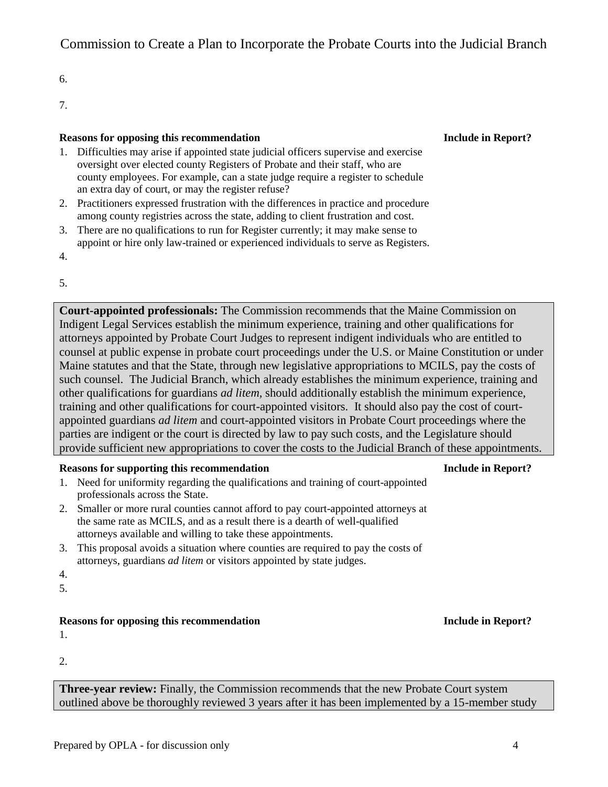6.

7.

### **Reasons for opposing this recommendation Include in Report?**

- 1. Difficulties may arise if appointed state judicial officers supervise and exercise oversight over elected county Registers of Probate and their staff, who are county employees. For example, can a state judge require a register to schedule an extra day of court, or may the register refuse?
- 2. Practitioners expressed frustration with the differences in practice and procedure among county registries across the state, adding to client frustration and cost.
- 3. There are no qualifications to run for Register currently; it may make sense to appoint or hire only law-trained or experienced individuals to serve as Registers.

4.

5.

**Court-appointed professionals:** The Commission recommends that the Maine Commission on Indigent Legal Services establish the minimum experience, training and other qualifications for attorneys appointed by Probate Court Judges to represent indigent individuals who are entitled to counsel at public expense in probate court proceedings under the U.S. or Maine Constitution or under Maine statutes and that the State, through new legislative appropriations to MCILS, pay the costs of such counsel. The Judicial Branch, which already establishes the minimum experience, training and other qualifications for guardians *ad litem,* should additionally establish the minimum experience, training and other qualifications for court-appointed visitors. It should also pay the cost of courtappointed guardians *ad litem* and court-appointed visitors in Probate Court proceedings where the parties are indigent or the court is directed by law to pay such costs, and the Legislature should provide sufficient new appropriations to cover the costs to the Judicial Branch of these appointments.

### **Reasons for supporting this recommendation Include in Report?**

- 1. Need for uniformity regarding the qualifications and training of court-appointed professionals across the State.
- 2. Smaller or more rural counties cannot afford to pay court-appointed attorneys at the same rate as MCILS, and as a result there is a dearth of well-qualified attorneys available and willing to take these appointments.
- 3. This proposal avoids a situation where counties are required to pay the costs of attorneys, guardians *ad litem* or visitors appointed by state judges.
- 4.
- 5.

## **Reasons for opposing this recommendation Include in Report?**

1.

2.

**Three-year review:** Finally, the Commission recommends that the new Probate Court system outlined above be thoroughly reviewed 3 years after it has been implemented by a 15-member study